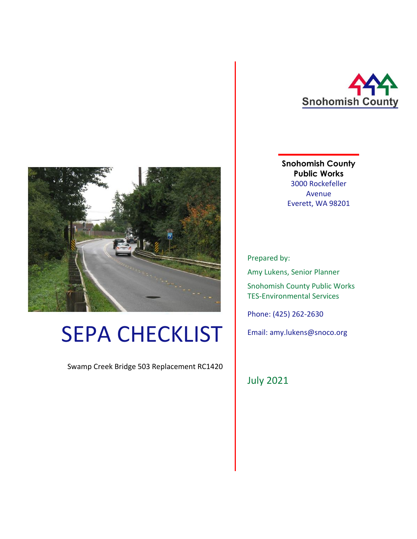

**Snohomish County Public Works** 3000 Rockefeller Avenue Everett, WA 98201

Prepared by:

Amy Lukens, Senior Planner

Snohomish County Public Works TES-Environmental Services

Phone: (425) 262-2630

Email: amy.lukens@snoco.org

July 2021



# SEPA CHECKLIST

Swamp Creek Bridge 503 Replacement RC1420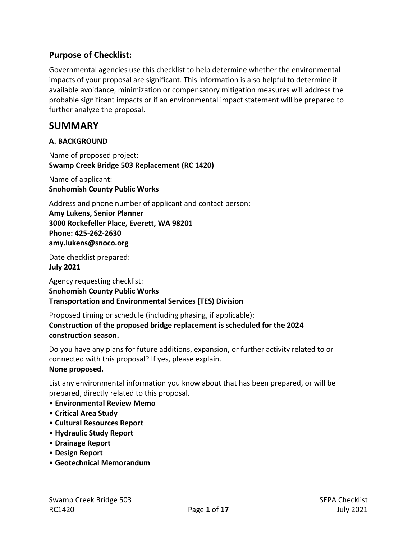# **Purpose of Checklist:**

Governmental agencies use this checklist to help determine whether the environmental impacts of your proposal are significant. This information is also helpful to determine if available avoidance, minimization or compensatory mitigation measures will address the probable significant impacts or if an environmental impact statement will be prepared to further analyze the proposal.

# **SUMMARY**

#### **A. BACKGROUND**

Name of proposed project: **Swamp Creek Bridge 503 Replacement (RC 1420)**

Name of applicant: **Snohomish County Public Works**

Address and phone number of applicant and contact person:

**Amy Lukens, Senior Planner 3000 Rockefeller Place, Everett, WA 98201 Phone: 425-262-2630 amy.lukens@snoco.org**

Date checklist prepared:

**July 2021**

Agency requesting checklist: **Snohomish County Public Works Transportation and Environmental Services (TES) Division**

Proposed timing or schedule (including phasing, if applicable): **Construction of the proposed bridge replacement is scheduled for the 2024 construction season.**

Do you have any plans for future additions, expansion, or further activity related to or connected with this proposal? If yes, please explain. **None proposed.** 

List any environmental information you know about that has been prepared, or will be prepared, directly related to this proposal.

- **Environmental Review Memo**
- **Critical Area Study**
- **Cultural Resources Report**
- **Hydraulic Study Report**
- **Drainage Report**
- **Design Report**
- **Geotechnical Memorandum**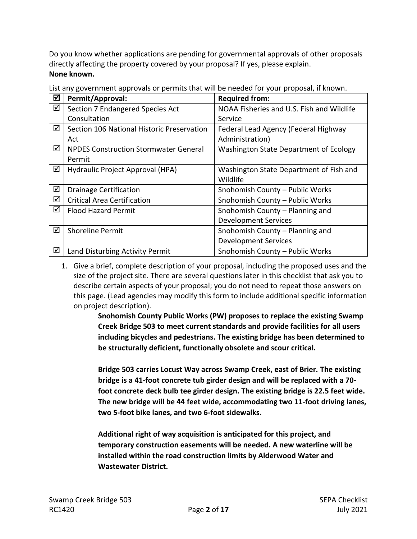Do you know whether applications are pending for governmental approvals of other proposals directly affecting the property covered by your proposal? If yes, please explain. **None known.** 

| ☑ | Permit/Approval:                             | <b>Required from:</b>                     |
|---|----------------------------------------------|-------------------------------------------|
| ☑ | Section 7 Endangered Species Act             | NOAA Fisheries and U.S. Fish and Wildlife |
|   | Consultation                                 | Service                                   |
| ☑ | Section 106 National Historic Preservation   | Federal Lead Agency (Federal Highway      |
|   | Act                                          | Administration)                           |
| ☑ | <b>NPDES Construction Stormwater General</b> | Washington State Department of Ecology    |
|   | Permit                                       |                                           |
| ☑ | Hydraulic Project Approval (HPA)             | Washington State Department of Fish and   |
|   |                                              | Wildlife                                  |
| ☑ | <b>Drainage Certification</b>                | Snohomish County - Public Works           |
| ☑ | <b>Critical Area Certification</b>           | Snohomish County - Public Works           |
| ☑ | <b>Flood Hazard Permit</b>                   | Snohomish County - Planning and           |
|   |                                              | <b>Development Services</b>               |
| ☑ | <b>Shoreline Permit</b>                      | Snohomish County - Planning and           |
|   |                                              | <b>Development Services</b>               |
| ☑ | Land Disturbing Activity Permit              | Snohomish County - Public Works           |

List any government approvals or permits that will be needed for your proposal, if known.

1. Give a brief, complete description of your proposal, including the proposed uses and the size of the project site. There are several questions later in this checklist that ask you to describe certain aspects of your proposal; you do not need to repeat those answers on this page. (Lead agencies may modify this form to include additional specific information on project description).

> **Snohomish County Public Works (PW) proposes to replace the existing Swamp Creek Bridge 503 to meet current standards and provide facilities for all users including bicycles and pedestrians. The existing bridge has been determined to be structurally deficient, functionally obsolete and scour critical.**

> **Bridge 503 carries Locust Way across Swamp Creek, east of Brier. The existing bridge is a 41-foot concrete tub girder design and will be replaced with a 70 foot concrete deck bulb tee girder design. The existing bridge is 22.5 feet wide. The new bridge will be 44 feet wide, accommodating two 11-foot driving lanes, two 5-foot bike lanes, and two 6-foot sidewalks.**

**Additional right of way acquisition is anticipated for this project, and temporary construction easements will be needed. A new waterline will be installed within the road construction limits by Alderwood Water and Wastewater District.**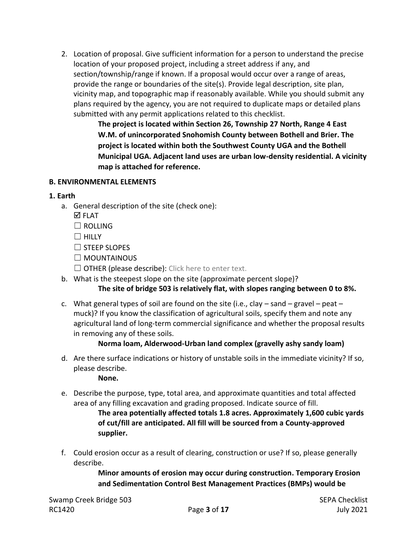2. Location of proposal. Give sufficient information for a person to understand the precise location of your proposed project, including a street address if any, and section/township/range if known. If a proposal would occur over a range of areas, provide the range or boundaries of the site(s). Provide legal description, site plan, vicinity map, and topographic map if reasonably available. While you should submit any plans required by the agency, you are not required to duplicate maps or detailed plans submitted with any permit applications related to this checklist.

> **The project is located within Section 26, Township 27 North, Range 4 East W.M. of unincorporated Snohomish County between Bothell and Brier. The project is located within both the Southwest County UGA and the Bothell Municipal UGA. Adjacent land uses are urban low-density residential. A vicinity map is attached for reference.**

#### **B. ENVIRONMENTAL ELEMENTS**

#### **1. Earth**

- a. General description of the site (check one):
	- **ØFLAT**
	- $\Box$  ROLLING
	- ☐ HILLY
	- ☐ STEEP SLOPES
	- ☐ MOUNTAINOUS
	- $\Box$  OTHER (please describe): Click here to enter text.
- b. What is the steepest slope on the site (approximate percent slope)?

## **The site of bridge 503 is relatively flat, with slopes ranging between 0 to 8%.**

c. What general types of soil are found on the site (i.e., clay  $-$  sand  $-$  gravel  $-$  peat  $$ muck)? If you know the classification of agricultural soils, specify them and note any agricultural land of long-term commercial significance and whether the proposal results in removing any of these soils.

## **Norma loam, Alderwood-Urban land complex (gravelly ashy sandy loam)**

d. Are there surface indications or history of unstable soils in the immediate vicinity? If so, please describe.

**None.**

e. Describe the purpose, type, total area, and approximate quantities and total affected area of any filling excavation and grading proposed. Indicate source of fill.

> **The area potentially affected totals 1.8 acres. Approximately 1,600 cubic yards of cut/fill are anticipated. All fill will be sourced from a County-approved supplier.**

f. Could erosion occur as a result of clearing, construction or use? If so, please generally describe.

> **Minor amounts of erosion may occur during construction. Temporary Erosion and Sedimentation Control Best Management Practices (BMPs) would be**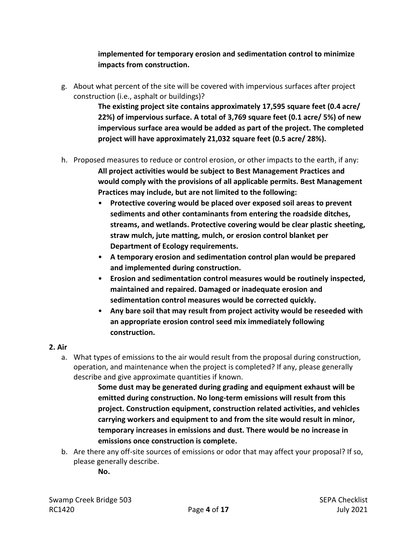## **implemented for temporary erosion and sedimentation control to minimize impacts from construction.**

g. About what percent of the site will be covered with impervious surfaces after project construction (i.e., asphalt or buildings)?

> **The existing project site contains approximately 17,595 square feet (0.4 acre/ 22%) of impervious surface. A total of 3,769 square feet (0.1 acre/ 5%) of new impervious surface area would be added as part of the project. The completed project will have approximately 21,032 square feet (0.5 acre/ 28%).**

- h. Proposed measures to reduce or control erosion, or other impacts to the earth, if any: **All project activities would be subject to Best Management Practices and would comply with the provisions of all applicable permits. Best Management Practices may include, but are not limited to the following:**
	- **Protective covering would be placed over exposed soil areas to prevent sediments and other contaminants from entering the roadside ditches, streams, and wetlands. Protective covering would be clear plastic sheeting, straw mulch, jute matting, mulch, or erosion control blanket per Department of Ecology requirements.**
	- **A temporary erosion and sedimentation control plan would be prepared and implemented during construction.**
	- **Erosion and sedimentation control measures would be routinely inspected, maintained and repaired. Damaged or inadequate erosion and sedimentation control measures would be corrected quickly.**
	- **Any bare soil that may result from project activity would be reseeded with an appropriate erosion control seed mix immediately following construction.**

## **2. Air**

a. What types of emissions to the air would result from the proposal during construction, operation, and maintenance when the project is completed? If any, please generally describe and give approximate quantities if known.

> **Some dust may be generated during grading and equipment exhaust will be emitted during construction. No long-term emissions will result from this project. Construction equipment, construction related activities, and vehicles carrying workers and equipment to and from the site would result in minor, temporary increases in emissions and dust. There would be no increase in emissions once construction is complete.**

b. Are there any off-site sources of emissions or odor that may affect your proposal? If so, please generally describe.

**No.**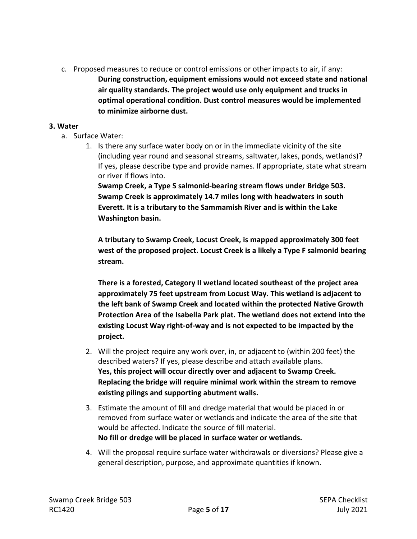c. Proposed measures to reduce or control emissions or other impacts to air, if any: **During construction, equipment emissions would not exceed state and national air quality standards. The project would use only equipment and trucks in optimal operational condition. Dust control measures would be implemented to minimize airborne dust.**

#### **3. Water**

- a. Surface Water:
	- 1. Is there any surface water body on or in the immediate vicinity of the site (including year round and seasonal streams, saltwater, lakes, ponds, wetlands)? If yes, please describe type and provide names. If appropriate, state what stream or river if flows into.

**Swamp Creek, a Type S salmonid-bearing stream flows under Bridge 503. Swamp Creek is approximately 14.7 miles long with headwaters in south Everett. It is a tributary to the Sammamish River and is within the Lake Washington basin.**

**A tributary to Swamp Creek, Locust Creek, is mapped approximately 300 feet west of the proposed project. Locust Creek is a likely a Type F salmonid bearing stream.**

**There is a forested, Category II wetland located southeast of the project area approximately 75 feet upstream from Locust Way. This wetland is adjacent to the left bank of Swamp Creek and located within the protected Native Growth Protection Area of the Isabella Park plat. The wetland does not extend into the existing Locust Way right-of-way and is not expected to be impacted by the project.**

- 2. Will the project require any work over, in, or adjacent to (within 200 feet) the described waters? If yes, please describe and attach available plans. **Yes, this project will occur directly over and adjacent to Swamp Creek. Replacing the bridge will require minimal work within the stream to remove existing pilings and supporting abutment walls.**
- 3. Estimate the amount of fill and dredge material that would be placed in or removed from surface water or wetlands and indicate the area of the site that would be affected. Indicate the source of fill material. **No fill or dredge will be placed in surface water or wetlands.**
- 4. Will the proposal require surface water withdrawals or diversions? Please give a general description, purpose, and approximate quantities if known.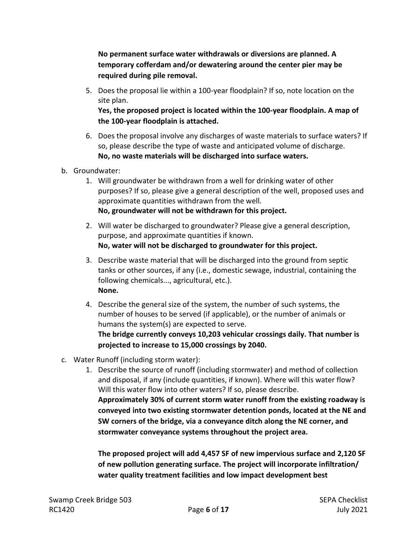**No permanent surface water withdrawals or diversions are planned. A temporary cofferdam and/or dewatering around the center pier may be required during pile removal.** 

5. Does the proposal lie within a 100-year floodplain? If so, note location on the site plan.

**Yes, the proposed project is located within the 100-year floodplain. A map of the 100-year floodplain is attached.** 

- 6. Does the proposal involve any discharges of waste materials to surface waters? If so, please describe the type of waste and anticipated volume of discharge. **No, no waste materials will be discharged into surface waters.**
- b. Groundwater:
	- 1. Will groundwater be withdrawn from a well for drinking water of other purposes? If so, please give a general description of the well, proposed uses and approximate quantities withdrawn from the well. **No, groundwater will not be withdrawn for this project.**
	- 2. Will water be discharged to groundwater? Please give a general description, purpose, and approximate quantities if known. **No, water will not be discharged to groundwater for this project.**
	- 3. Describe waste material that will be discharged into the ground from septic tanks or other sources, if any (i.e., domestic sewage, industrial, containing the following chemicals..., agricultural, etc.). **None.**
	- 4. Describe the general size of the system, the number of such systems, the number of houses to be served (if applicable), or the number of animals or humans the system(s) are expected to serve.

**The bridge currently conveys 10,203 vehicular crossings daily. That number is projected to increase to 15,000 crossings by 2040.**

- c. Water Runoff (including storm water):
	- 1. Describe the source of runoff (including stormwater) and method of collection and disposal, if any (include quantities, if known). Where will this water flow? Will this water flow into other waters? If so, please describe. **Approximately 30% of current storm water runoff from the existing roadway is conveyed into two existing stormwater detention ponds, located at the NE and SW corners of the bridge, via a conveyance ditch along the NE corner, and stormwater conveyance systems throughout the project area.**

**The proposed project will add 4,457 SF of new impervious surface and 2,120 SF of new pollution generating surface. The project will incorporate infiltration/ water quality treatment facilities and low impact development best**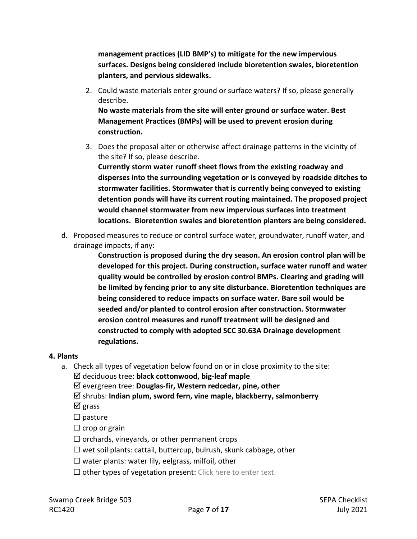**management practices (LID BMP's) to mitigate for the new impervious surfaces. Designs being considered include bioretention swales, bioretention planters, and pervious sidewalks.** 

2. Could waste materials enter ground or surface waters? If so, please generally describe.

**No waste materials from the site will enter ground or surface water. Best Management Practices (BMPs) will be used to prevent erosion during construction.** 

3. Does the proposal alter or otherwise affect drainage patterns in the vicinity of the site? If so, please describe.

**Currently storm water runoff sheet flows from the existing roadway and disperses into the surrounding vegetation or is conveyed by roadside ditches to stormwater facilities. Stormwater that is currently being conveyed to existing detention ponds will have its current routing maintained. The proposed project would channel stormwater from new impervious surfaces into treatment locations. Bioretention swales and bioretention planters are being considered.**

d. Proposed measures to reduce or control surface water, groundwater, runoff water, and drainage impacts, if any:

> **Construction is proposed during the dry season. An erosion control plan will be developed for this project. During construction, surface water runoff and water quality would be controlled by erosion control BMPs. Clearing and grading will be limited by fencing prior to any site disturbance. Bioretention techniques are being considered to reduce impacts on surface water. Bare soil would be seeded and/or planted to control erosion after construction. Stormwater erosion control measures and runoff treatment will be designed and constructed to comply with adopted SCC 30.63A Drainage development regulations.**

## **4. Plants**

- a. Check all types of vegetation below found on or in close proximity to the site: deciduous tree: **black cottonwood, big-leaf maple**
	- evergreen tree: **Douglas**-**fir, Western redcedar, pine, other**
	- shrubs: **Indian plum, sword fern, vine maple, blackberry, salmonberry**

 $\boxtimes$  grass

□ pasture

- $\Box$  crop or grain
- $\Box$  orchards, vineyards, or other permanent crops
- $\Box$  wet soil plants: cattail, buttercup, bulrush, skunk cabbage, other
- $\Box$  water plants: water lily, eelgrass, milfoil, other
- $\Box$  other types of vegetation present: Click here to enter text.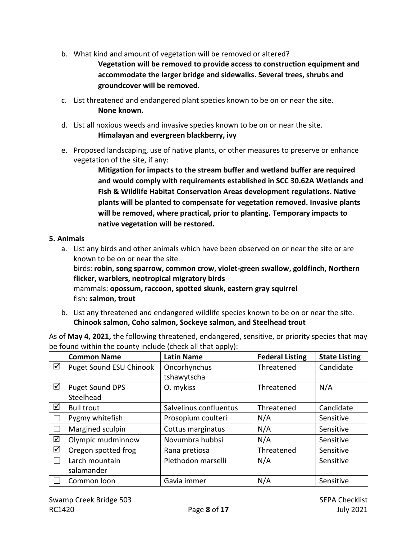- b. What kind and amount of vegetation will be removed or altered? **Vegetation will be removed to provide access to construction equipment and accommodate the larger bridge and sidewalks. Several trees, shrubs and groundcover will be removed.**
- c. List threatened and endangered plant species known to be on or near the site. **None known.**
- d. List all noxious weeds and invasive species known to be on or near the site. **Himalayan and evergreen blackberry, ivy**
- e. Proposed landscaping, use of native plants, or other measures to preserve or enhance vegetation of the site, if any:

**Mitigation for impacts to the stream buffer and wetland buffer are required and would comply with requirements established in SCC 30.62A Wetlands and Fish & Wildlife Habitat Conservation Areas development regulations. Native plants will be planted to compensate for vegetation removed. Invasive plants will be removed, where practical, prior to planting. Temporary impacts to native vegetation will be restored.** 

## **5. Animals**

a. List any birds and other animals which have been observed on or near the site or are known to be on or near the site.

birds: **robin, song sparrow, common crow, violet-green swallow, goldfinch, Northern flicker, warblers, neotropical migratory birds** mammals: **opossum, raccoon, spotted skunk, eastern gray squirrel**

fish: **salmon, trout**

b. List any threatened and endangered wildlife species known to be on or near the site. **Chinook salmon, Coho salmon, Sockeye salmon, and Steelhead trout** 

| be found within the county include (check all that apply): |                              |                             |                        |                      |  |  |  |
|------------------------------------------------------------|------------------------------|-----------------------------|------------------------|----------------------|--|--|--|
|                                                            | <b>Common Name</b>           | <b>Latin Name</b>           | <b>Federal Listing</b> | <b>State Listing</b> |  |  |  |
| ☑                                                          | Puget Sound ESU Chinook      | Oncorhynchus<br>tshawytscha | Threatened             | Candidate            |  |  |  |
| ☑                                                          | Puget Sound DPS<br>Steelhead | O. mykiss                   | Threatened             | N/A                  |  |  |  |
| ☑                                                          | <b>Bull trout</b>            | Salvelinus confluentus      | Threatened             | Candidate            |  |  |  |
|                                                            | Pygmy whitefish              | Prosopium coulteri          | N/A                    | Sensitive            |  |  |  |
|                                                            | Margined sculpin             | Cottus marginatus           | N/A                    | Sensitive            |  |  |  |
| ☑                                                          | Olympic mudminnow            | Novumbra hubbsi             | N/A                    | Sensitive            |  |  |  |
| ☑                                                          | Oregon spotted frog          | Rana pretiosa               | Threatened             | Sensitive            |  |  |  |
|                                                            | Larch mountain<br>salamander | Plethodon marselli          | N/A                    | Sensitive            |  |  |  |
|                                                            | Common loon                  | Gavia immer                 | N/A                    | Sensitive            |  |  |  |

As of **May 4, 2021,** the following threatened, endangered, sensitive, or priority species that may be found within the county include (check all that apply):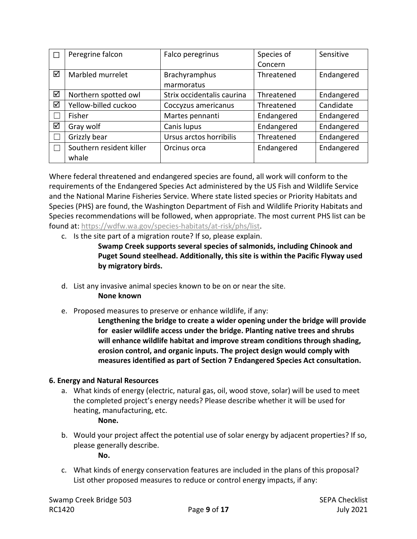| П | Peregrine falcon         | Falco peregrinus           | Species of | Sensitive  |
|---|--------------------------|----------------------------|------------|------------|
|   |                          |                            | Concern    |            |
| ☑ | Marbled murrelet         | <b>Brachyramphus</b>       | Threatened | Endangered |
|   |                          | marmoratus                 |            |            |
| ☑ | Northern spotted owl     | Strix occidentalis caurina | Threatened | Endangered |
| ☑ | Yellow-billed cuckoo     | Coccyzus americanus        | Threatened | Candidate  |
|   | Fisher                   | Martes pennanti            | Endangered | Endangered |
| ☑ | Gray wolf                | Canis lupus                | Endangered | Endangered |
|   | Grizzly bear             | Ursus arctos horribilis    | Threatened | Endangered |
|   | Southern resident killer | Orcinus orca               | Endangered | Endangered |
|   | whale                    |                            |            |            |

Where federal threatened and endangered species are found, all work will conform to the requirements of the Endangered Species Act administered by the US Fish and Wildlife Service and the National Marine Fisheries Service. Where state listed species or Priority Habitats and Species (PHS) are found, the Washington Department of Fish and Wildlife Priority Habitats and Species recommendations will be followed, when appropriate. The most current PHS list can be found at: [https://wdfw.wa.gov/species-habitats/at-risk/phs/list.](https://wdfw.wa.gov/species-habitats/at-risk/phs/list)

c. Is the site part of a migration route? If so, please explain.

**Swamp Creek supports several species of salmonids, including Chinook and Puget Sound steelhead. Additionally, this site is within the Pacific Flyway used by migratory birds.** 

d. List any invasive animal species known to be on or near the site.

**None known**

e. Proposed measures to preserve or enhance wildlife, if any:

**Lengthening the bridge to create a wider opening under the bridge will provide for easier wildlife access under the bridge. Planting native trees and shrubs will enhance wildlife habitat and improve stream conditions through shading, erosion control, and organic inputs. The project design would comply with measures identified as part of Section 7 Endangered Species Act consultation.**

# **6. Energy and Natural Resources**

a. What kinds of energy (electric, natural gas, oil, wood stove, solar) will be used to meet the completed project's energy needs? Please describe whether it will be used for heating, manufacturing, etc.

# **None.**

b. Would your project affect the potential use of solar energy by adjacent properties? If so, please generally describe.

**No.**

c. What kinds of energy conservation features are included in the plans of this proposal? List other proposed measures to reduce or control energy impacts, if any: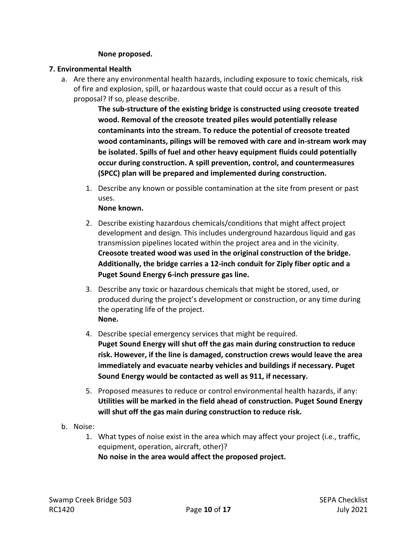#### **None proposed.**

#### **7. Environmental Health**

a. Are there any environmental health hazards, including exposure to toxic chemicals, risk of fire and explosion, spill, or hazardous waste that could occur as a result of this proposal? If so, please describe.

> **The sub-structure of the existing bridge is constructed using creosote treated wood. Removal of the creosote treated piles would potentially release contaminants into the stream. To reduce the potential of creosote treated wood contaminants, pilings will be removed with care and in-stream work may be isolated. Spills of fuel and other heavy equipment fluids could potentially occur during construction. A spill prevention, control, and countermeasures (SPCC) plan will be prepared and implemented during construction.**

1. Describe any known or possible contamination at the site from present or past uses.

#### **None known.**

- 2. Describe existing hazardous chemicals/conditions that might affect project development and design. This includes underground hazardous liquid and gas transmission pipelines located within the project area and in the vicinity. **Creosote treated wood was used in the original construction of the bridge. Additionally, the bridge carries a 12-inch conduit for Ziply fiber optic and a Puget Sound Energy 6-inch pressure gas line.**
- 3. Describe any toxic or hazardous chemicals that might be stored, used, or produced during the project's development or construction, or any time during the operating life of the project. **None.**
- 4. Describe special emergency services that might be required. **Puget Sound Energy will shut off the gas main during construction to reduce risk. However, if the line is damaged, construction crews would leave the area immediately and evacuate nearby vehicles and buildings if necessary. Puget Sound Energy would be contacted as well as 911, if necessary.**
- 5. Proposed measures to reduce or control environmental health hazards, if any: **Utilities will be marked in the field ahead of construction. Puget Sound Energy will shut off the gas main during construction to reduce risk.**
- b. Noise:
	- 1. What types of noise exist in the area which may affect your project (i.e., traffic, equipment, operation, aircraft, other)? **No noise in the area would affect the proposed project.**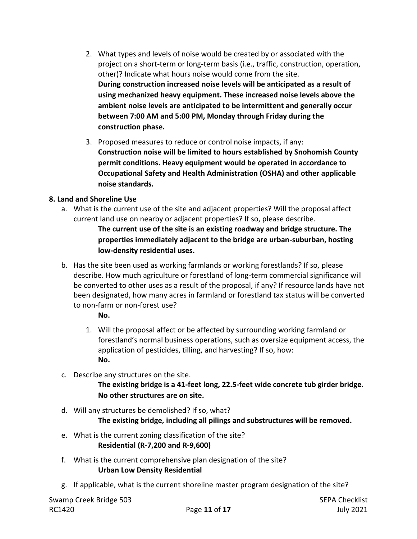- 2. What types and levels of noise would be created by or associated with the project on a short-term or long-term basis (i.e., traffic, construction, operation, other)? Indicate what hours noise would come from the site. **During construction increased noise levels will be anticipated as a result of using mechanized heavy equipment. These increased noise levels above the ambient noise levels are anticipated to be intermittent and generally occur between 7:00 AM and 5:00 PM, Monday through Friday during the construction phase.**
- 3. Proposed measures to reduce or control noise impacts, if any: **Construction noise will be limited to hours established by Snohomish County permit conditions. Heavy equipment would be operated in accordance to Occupational Safety and Health Administration (OSHA) and other applicable noise standards.**

## **8. Land and Shoreline Use**

a. What is the current use of the site and adjacent properties? Will the proposal affect current land use on nearby or adjacent properties? If so, please describe.

**The current use of the site is an existing roadway and bridge structure. The properties immediately adjacent to the bridge are urban-suburban, hosting low-density residential uses.**

b. Has the site been used as working farmlands or working forestlands? If so, please describe. How much agriculture or forestland of long-term commercial significance will be converted to other uses as a result of the proposal, if any? If resource lands have not been designated, how many acres in farmland or forestland tax status will be converted to non-farm or non-forest use?

## **No.**

- 1. Will the proposal affect or be affected by surrounding working farmland or forestland's normal business operations, such as oversize equipment access, the application of pesticides, tilling, and harvesting? If so, how: **No.**
- c. Describe any structures on the site.

**The existing bridge is a 41-feet long, 22.5-feet wide concrete tub girder bridge. No other structures are on site.**

- d. Will any structures be demolished? If so, what? **The existing bridge, including all pilings and substructures will be removed.**
- e. What is the current zoning classification of the site? **Residential (R-7,200 and R-9,600)**
- f. What is the current comprehensive plan designation of the site? **Urban Low Density Residential**
- g. If applicable, what is the current shoreline master program designation of the site?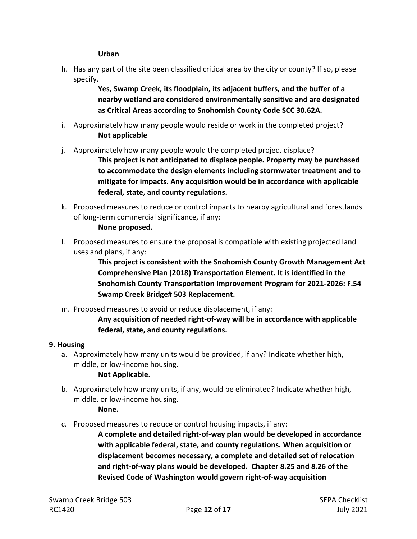**Urban**

h. Has any part of the site been classified critical area by the city or county? If so, please specify.

> **Yes, Swamp Creek, its floodplain, its adjacent buffers, and the buffer of a nearby wetland are considered environmentally sensitive and are designated as Critical Areas according to Snohomish County Code SCC 30.62A.**

- i. Approximately how many people would reside or work in the completed project? **Not applicable**
- j. Approximately how many people would the completed project displace?

**This project is not anticipated to displace people. Property may be purchased to accommodate the design elements including stormwater treatment and to mitigate for impacts. Any acquisition would be in accordance with applicable federal, state, and county regulations.** 

- k. Proposed measures to reduce or control impacts to nearby agricultural and forestlands of long-term commercial significance, if any:
	- **None proposed.**
- l. Proposed measures to ensure the proposal is compatible with existing projected land uses and plans, if any:

**This project is consistent with the Snohomish County Growth Management Act Comprehensive Plan (2018) Transportation Element. It is identified in the Snohomish County Transportation Improvement Program for 2021-2026: F.54 Swamp Creek Bridge# 503 Replacement.**

m. Proposed measures to avoid or reduce displacement, if any:

**Any acquisition of needed right-of-way will be in accordance with applicable federal, state, and county regulations.** 

## **9. Housing**

a. Approximately how many units would be provided, if any? Indicate whether high, middle, or low-income housing.

## **Not Applicable.**

- b. Approximately how many units, if any, would be eliminated? Indicate whether high, middle, or low-income housing. **None.**
- c. Proposed measures to reduce or control housing impacts, if any:

**A complete and detailed right-of-way plan would be developed in accordance with applicable federal, state, and county regulations. When acquisition or displacement becomes necessary, a complete and detailed set of relocation and right-of-way plans would be developed. Chapter 8.25 and 8.26 of the Revised Code of Washington would govern right-of-way acquisition**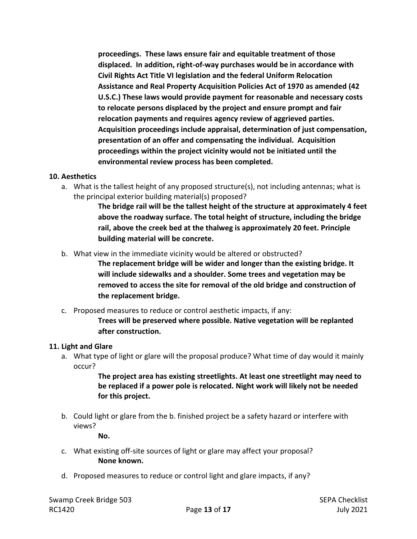**proceedings. These laws ensure fair and equitable treatment of those displaced. In addition, right-of-way purchases would be in accordance with Civil Rights Act Title VI legislation and the federal Uniform Relocation Assistance and Real Property Acquisition Policies Act of 1970 as amended (42 U.S.C.) These laws would provide payment for reasonable and necessary costs to relocate persons displaced by the project and ensure prompt and fair relocation payments and requires agency review of aggrieved parties. Acquisition proceedings include appraisal, determination of just compensation, presentation of an offer and compensating the individual. Acquisition proceedings within the project vicinity would not be initiated until the environmental review process has been completed.**

#### **10. Aesthetics**

a. What is the tallest height of any proposed structure(s), not including antennas; what is the principal exterior building material(s) proposed?

> **The bridge rail will be the tallest height of the structure at approximately 4 feet above the roadway surface. The total height of structure, including the bridge rail, above the creek bed at the thalweg is approximately 20 feet. Principle building material will be concrete.**

b. What view in the immediate vicinity would be altered or obstructed?

**The replacement bridge will be wider and longer than the existing bridge. It will include sidewalks and a shoulder. Some trees and vegetation may be removed to access the site for removal of the old bridge and construction of the replacement bridge.**

c. Proposed measures to reduce or control aesthetic impacts, if any:

**Trees will be preserved where possible. Native vegetation will be replanted after construction.** 

#### **11. Light and Glare**

a. What type of light or glare will the proposal produce? What time of day would it mainly occur?

> **The project area has existing streetlights. At least one streetlight may need to be replaced if a power pole is relocated. Night work will likely not be needed for this project.**

b. Could light or glare from the b. finished project be a safety hazard or interfere with views?

**No.**

- c. What existing off-site sources of light or glare may affect your proposal? **None known.**
- d. Proposed measures to reduce or control light and glare impacts, if any?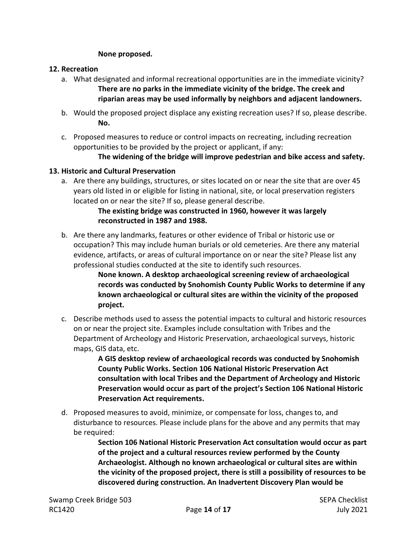#### **None proposed.**

#### **12. Recreation**

- a. What designated and informal recreational opportunities are in the immediate vicinity? **There are no parks in the immediate vicinity of the bridge. The creek and riparian areas may be used informally by neighbors and adjacent landowners.**
- b. Would the proposed project displace any existing recreation uses? If so, please describe. **No.**
- c. Proposed measures to reduce or control impacts on recreating, including recreation opportunities to be provided by the project or applicant, if any:

## **The widening of the bridge will improve pedestrian and bike access and safety.**

## **13. Historic and Cultural Preservation**

a. Are there any buildings, structures, or sites located on or near the site that are over 45 years old listed in or eligible for listing in national, site, or local preservation registers located on or near the site? If so, please general describe.

## **The existing bridge was constructed in 1960, however it was largely reconstructed in 1987 and 1988.**

b. Are there any landmarks, features or other evidence of Tribal or historic use or occupation? This may include human burials or old cemeteries. Are there any material evidence, artifacts, or areas of cultural importance on or near the site? Please list any professional studies conducted at the site to identify such resources.

**None known. A desktop archaeological screening review of archaeological records was conducted by Snohomish County Public Works to determine if any known archaeological or cultural sites are within the vicinity of the proposed project.**

c. Describe methods used to assess the potential impacts to cultural and historic resources on or near the project site. Examples include consultation with Tribes and the Department of Archeology and Historic Preservation, archaeological surveys, historic maps, GIS data, etc.

> **A GIS desktop review of archaeological records was conducted by Snohomish County Public Works. Section 106 National Historic Preservation Act consultation with local Tribes and the Department of Archeology and Historic Preservation would occur as part of the project's Section 106 National Historic Preservation Act requirements.**

d. Proposed measures to avoid, minimize, or compensate for loss, changes to, and disturbance to resources. Please include plans for the above and any permits that may be required:

> **Section 106 National Historic Preservation Act consultation would occur as part of the project and a cultural resources review performed by the County Archaeologist. Although no known archaeological or cultural sites are within the vicinity of the proposed project, there is still a possibility of resources to be discovered during construction. An Inadvertent Discovery Plan would be**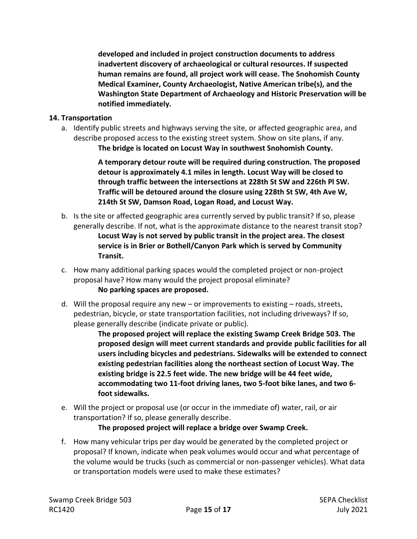**developed and included in project construction documents to address inadvertent discovery of archaeological or cultural resources. If suspected human remains are found, all project work will cease. The Snohomish County Medical Examiner, County Archaeologist, Native American tribe(s), and the Washington State Department of Archaeology and Historic Preservation will be notified immediately.**

#### **14. Transportation**

a. Identify public streets and highways serving the site, or affected geographic area, and describe proposed access to the existing street system. Show on site plans, if any. **The bridge is located on Locust Way in southwest Snohomish County.**

> **A temporary detour route will be required during construction. The proposed detour is approximately 4.1 miles in length. Locust Way will be closed to through traffic between the intersections at 228th St SW and 226th Pl SW. Traffic will be detoured around the closure using 228th St SW, 4th Ave W, 214th St SW, Damson Road, Logan Road, and Locust Way.**

- b. Is the site or affected geographic area currently served by public transit? If so, please generally describe. If not, what is the approximate distance to the nearest transit stop? **Locust Way is not served by public transit in the project area. The closest service is in Brier or Bothell/Canyon Park which is served by Community Transit.**
- c. How many additional parking spaces would the completed project or non-project proposal have? How many would the project proposal eliminate? **No parking spaces are proposed.**
- d. Will the proposal require any new or improvements to existing roads, streets, pedestrian, bicycle, or state transportation facilities, not including driveways? If so, please generally describe (indicate private or public).

**The proposed project will replace the existing Swamp Creek Bridge 503. The proposed design will meet current standards and provide public facilities for all users including bicycles and pedestrians. Sidewalks will be extended to connect existing pedestrian facilities along the northeast section of Locust Way. The existing bridge is 22.5 feet wide. The new bridge will be 44 feet wide, accommodating two 11-foot driving lanes, two 5-foot bike lanes, and two 6 foot sidewalks.**

e. Will the project or proposal use (or occur in the immediate of) water, rail, or air transportation? If so, please generally describe.

**The proposed project will replace a bridge over Swamp Creek.**

f. How many vehicular trips per day would be generated by the completed project or proposal? If known, indicate when peak volumes would occur and what percentage of the volume would be trucks (such as commercial or non-passenger vehicles). What data or transportation models were used to make these estimates?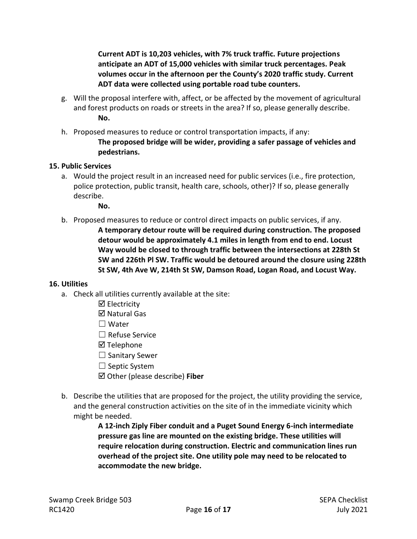**Current ADT is 10,203 vehicles, with 7% truck traffic. Future projections anticipate an ADT of 15,000 vehicles with similar truck percentages. Peak volumes occur in the afternoon per the County's 2020 traffic study. Current ADT data were collected using portable road tube counters.** 

- g. Will the proposal interfere with, affect, or be affected by the movement of agricultural and forest products on roads or streets in the area? If so, please generally describe. **No.**
- h. Proposed measures to reduce or control transportation impacts, if any: **The proposed bridge will be wider, providing a safer passage of vehicles and pedestrians.**

#### **15. Public Services**

a. Would the project result in an increased need for public services (i.e., fire protection, police protection, public transit, health care, schools, other)? If so, please generally describe.

**No.**

b. Proposed measures to reduce or control direct impacts on public services, if any. **A temporary detour route will be required during construction. The proposed detour would be approximately 4.1 miles in length from end to end. Locust** 

**Way would be closed to through traffic between the intersections at 228th St SW and 226th Pl SW. Traffic would be detoured around the closure using 228th St SW, 4th Ave W, 214th St SW, Damson Road, Logan Road, and Locust Way.**

#### **16. Utilities**

- a. Check all utilities currently available at the site:
	- Electricity

**Ø** Natural Gas

- ☐ Water
- ☐ Refuse Service
- **Ø** Telephone
- $\Box$  Sanitary Sewer
- □ Septic System
- Other (please describe) **Fiber**
- b. Describe the utilities that are proposed for the project, the utility providing the service, and the general construction activities on the site of in the immediate vicinity which might be needed.

**A 12-inch Ziply Fiber conduit and a Puget Sound Energy 6-inch intermediate pressure gas line are mounted on the existing bridge. These utilities will require relocation during construction. Electric and communication lines run overhead of the project site. One utility pole may need to be relocated to accommodate the new bridge.**